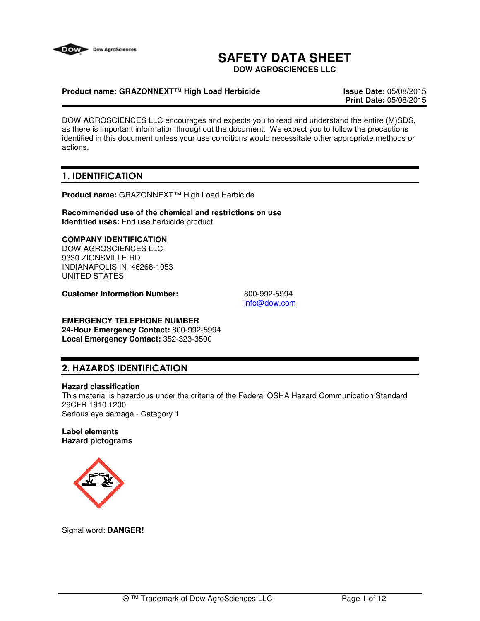

# **SAFETY DATA SHEET**

**DOW AGROSCIENCES LLC**

### **Product name: GRAZONNEXT™ High Load Herbicide Issue Date:** 05/08/2015

**Print Date:** 05/08/2015

DOW AGROSCIENCES LLC encourages and expects you to read and understand the entire (M)SDS, as there is important information throughout the document. We expect you to follow the precautions identified in this document unless your use conditions would necessitate other appropriate methods or actions.

# 1. IDENTIFICATION

**Product name:** GRAZONNEXT™ High Load Herbicide

**Recommended use of the chemical and restrictions on use Identified uses:** End use herbicide product

### **COMPANY IDENTIFICATION**

DOW AGROSCIENCES LLC 9330 ZIONSVILLE RD INDIANAPOLIS IN 46268-1053 UNITED STATES

**Customer Information Number:** 800-992-5994

info@dow.com

# **EMERGENCY TELEPHONE NUMBER**

**24-Hour Emergency Contact:** 800-992-5994 **Local Emergency Contact:** 352-323-3500

# 2. HAZARDS IDENTIFICATION

#### **Hazard classification**

This material is hazardous under the criteria of the Federal OSHA Hazard Communication Standard 29CFR 1910.1200. Serious eye damage - Category 1

#### **Label elements Hazard pictograms**



Signal word: **DANGER!**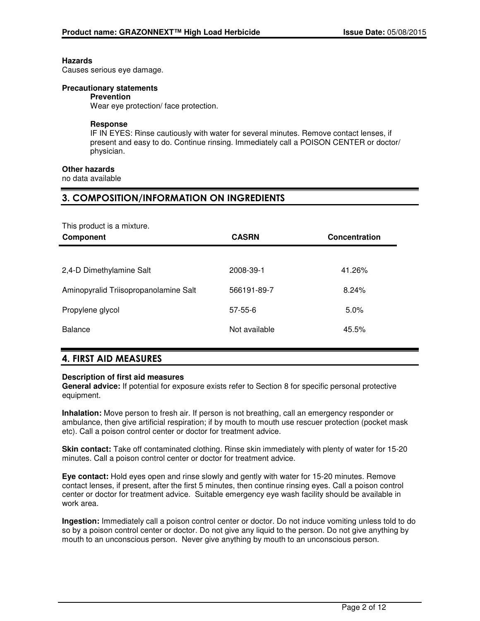#### **Hazards**

Causes serious eye damage.

#### **Precautionary statements**

#### **Prevention**

Wear eye protection/ face protection.

#### **Response**

IF IN EYES: Rinse cautiously with water for several minutes. Remove contact lenses, if present and easy to do. Continue rinsing. Immediately call a POISON CENTER or doctor/ physician.

### **Other hazards**

no data available

### 3. COMPOSITION/INFORMATION ON INGREDIENTS

This product is a mixture.

| Component                             | <b>CASRN</b>  | Concentration |
|---------------------------------------|---------------|---------------|
|                                       |               |               |
| 2,4-D Dimethylamine Salt              | 2008-39-1     | 41.26%        |
| Aminopyralid Triisopropanolamine Salt | 566191-89-7   | 8.24%         |
| Propylene glycol                      | $57 - 55 - 6$ | 5.0%          |
| <b>Balance</b>                        | Not available | 45.5%         |
|                                       |               |               |

### 4. FIRST AID MEASURES

#### **Description of first aid measures**

**General advice:** If potential for exposure exists refer to Section 8 for specific personal protective equipment.

**Inhalation:** Move person to fresh air. If person is not breathing, call an emergency responder or ambulance, then give artificial respiration; if by mouth to mouth use rescuer protection (pocket mask etc). Call a poison control center or doctor for treatment advice.

**Skin contact:** Take off contaminated clothing. Rinse skin immediately with plenty of water for 15-20 minutes. Call a poison control center or doctor for treatment advice.

**Eye contact:** Hold eyes open and rinse slowly and gently with water for 15-20 minutes. Remove contact lenses, if present, after the first 5 minutes, then continue rinsing eyes. Call a poison control center or doctor for treatment advice. Suitable emergency eye wash facility should be available in work area.

**Ingestion:** Immediately call a poison control center or doctor. Do not induce vomiting unless told to do so by a poison control center or doctor. Do not give any liquid to the person. Do not give anything by mouth to an unconscious person. Never give anything by mouth to an unconscious person.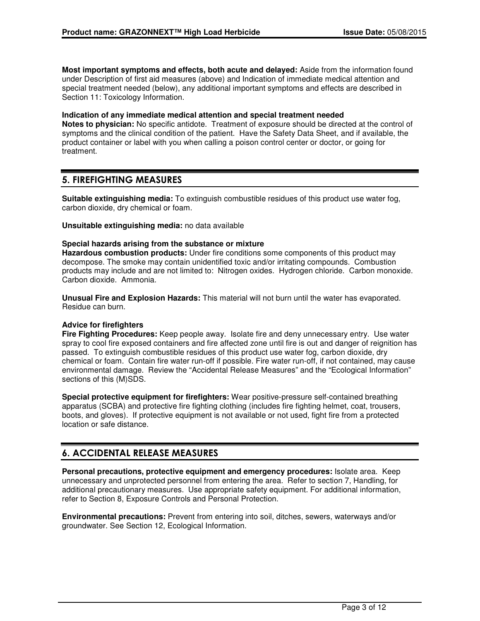**Most important symptoms and effects, both acute and delayed:** Aside from the information found under Description of first aid measures (above) and Indication of immediate medical attention and special treatment needed (below), any additional important symptoms and effects are described in Section 11: Toxicology Information.

#### **Indication of any immediate medical attention and special treatment needed**

**Notes to physician:** No specific antidote. Treatment of exposure should be directed at the control of symptoms and the clinical condition of the patient. Have the Safety Data Sheet, and if available, the product container or label with you when calling a poison control center or doctor, or going for treatment.

### 5. FIREFIGHTING MEASURES

**Suitable extinguishing media:** To extinguish combustible residues of this product use water fog, carbon dioxide, dry chemical or foam.

**Unsuitable extinguishing media:** no data available

#### **Special hazards arising from the substance or mixture**

**Hazardous combustion products:** Under fire conditions some components of this product may decompose. The smoke may contain unidentified toxic and/or irritating compounds. Combustion products may include and are not limited to: Nitrogen oxides. Hydrogen chloride. Carbon monoxide. Carbon dioxide. Ammonia.

**Unusual Fire and Explosion Hazards:** This material will not burn until the water has evaporated. Residue can burn.

#### **Advice for firefighters**

**Fire Fighting Procedures:** Keep people away. Isolate fire and deny unnecessary entry. Use water spray to cool fire exposed containers and fire affected zone until fire is out and danger of reignition has passed. To extinguish combustible residues of this product use water fog, carbon dioxide, dry chemical or foam. Contain fire water run-off if possible. Fire water run-off, if not contained, may cause environmental damage. Review the "Accidental Release Measures" and the "Ecological Information" sections of this (M)SDS.

**Special protective equipment for firefighters:** Wear positive-pressure self-contained breathing apparatus (SCBA) and protective fire fighting clothing (includes fire fighting helmet, coat, trousers, boots, and gloves). If protective equipment is not available or not used, fight fire from a protected location or safe distance.

# 6. ACCIDENTAL RELEASE MEASURES

**Personal precautions, protective equipment and emergency procedures:** Isolate area. Keep unnecessary and unprotected personnel from entering the area. Refer to section 7, Handling, for additional precautionary measures. Use appropriate safety equipment. For additional information, refer to Section 8, Exposure Controls and Personal Protection.

**Environmental precautions:** Prevent from entering into soil, ditches, sewers, waterways and/or groundwater. See Section 12, Ecological Information.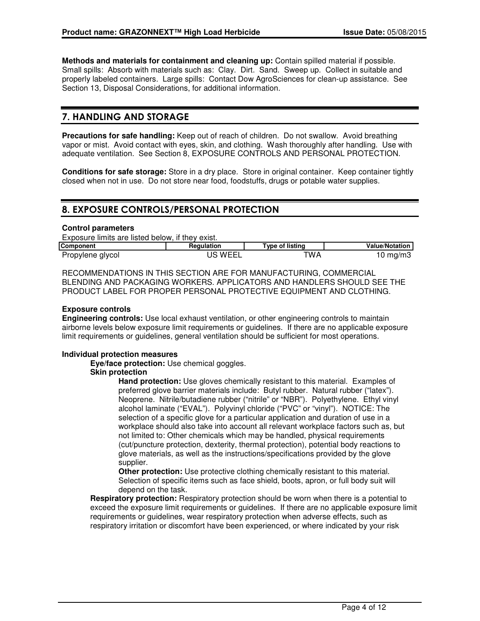**Methods and materials for containment and cleaning up:** Contain spilled material if possible. Small spills: Absorb with materials such as: Clay. Dirt. Sand. Sweep up. Collect in suitable and properly labeled containers. Large spills: Contact Dow AgroSciences for clean-up assistance. See Section 13, Disposal Considerations, for additional information.

# 7. HANDLING AND STORAGE

**Precautions for safe handling:** Keep out of reach of children. Do not swallow. Avoid breathing vapor or mist. Avoid contact with eyes, skin, and clothing. Wash thoroughly after handling. Use with adequate ventilation. See Section 8, EXPOSURE CONTROLS AND PERSONAL PROTECTION.

**Conditions for safe storage:** Store in a dry place. Store in original container. Keep container tightly closed when not in use. Do not store near food, foodstuffs, drugs or potable water supplies.

# 8. EXPOSURE CONTROLS/PERSONAL PROTECTION

#### **Control parameters**

Exposure limits are listed below, if they exist.

| <b>Component</b> | Reaulation         | Type of listing | <b>Value/Notation</b> |
|------------------|--------------------|-----------------|-----------------------|
| Propylene glycol | <b>WEEI</b><br>___ | TWA.            | I0 mg/m3              |

RECOMMENDATIONS IN THIS SECTION ARE FOR MANUFACTURING, COMMERCIAL BLENDING AND PACKAGING WORKERS. APPLICATORS AND HANDLERS SHOULD SEE THE PRODUCT LABEL FOR PROPER PERSONAL PROTECTIVE EQUIPMENT AND CLOTHING.

#### **Exposure controls**

**Engineering controls:** Use local exhaust ventilation, or other engineering controls to maintain airborne levels below exposure limit requirements or guidelines. If there are no applicable exposure limit requirements or guidelines, general ventilation should be sufficient for most operations.

#### **Individual protection measures**

**Eye/face protection:** Use chemical goggles.

#### **Skin protection**

**Hand protection:** Use gloves chemically resistant to this material. Examples of preferred glove barrier materials include: Butyl rubber. Natural rubber ("latex"). Neoprene. Nitrile/butadiene rubber ("nitrile" or "NBR"). Polyethylene. Ethyl vinyl alcohol laminate ("EVAL"). Polyvinyl chloride ("PVC" or "vinyl"). NOTICE: The selection of a specific glove for a particular application and duration of use in a workplace should also take into account all relevant workplace factors such as, but not limited to: Other chemicals which may be handled, physical requirements (cut/puncture protection, dexterity, thermal protection), potential body reactions to glove materials, as well as the instructions/specifications provided by the glove supplier.

**Other protection:** Use protective clothing chemically resistant to this material. Selection of specific items such as face shield, boots, apron, or full body suit will depend on the task.

**Respiratory protection:** Respiratory protection should be worn when there is a potential to exceed the exposure limit requirements or guidelines. If there are no applicable exposure limit requirements or guidelines, wear respiratory protection when adverse effects, such as respiratory irritation or discomfort have been experienced, or where indicated by your risk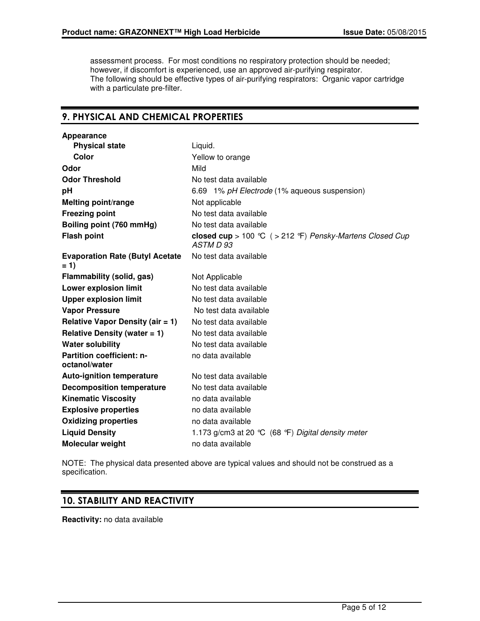assessment process. For most conditions no respiratory protection should be needed; however, if discomfort is experienced, use an approved air-purifying respirator. The following should be effective types of air-purifying respirators: Organic vapor cartridge with a particulate pre-filter.

# 9. PHYSICAL AND CHEMICAL PROPERTIES

| Appearance                                        |                                                                       |
|---------------------------------------------------|-----------------------------------------------------------------------|
| <b>Physical state</b>                             | Liquid.                                                               |
| Color                                             | Yellow to orange                                                      |
| Odor                                              | Mild                                                                  |
| <b>Odor Threshold</b>                             | No test data available                                                |
| pH                                                | 6.69 1% pH Electrode (1% aqueous suspension)                          |
| <b>Melting point/range</b>                        | Not applicable                                                        |
| <b>Freezing point</b>                             | No test data available                                                |
| Boiling point (760 mmHg)                          | No test data available                                                |
| <b>Flash point</b>                                | closed cup > 100 °C ( > 212 °F) Pensky-Martens Closed Cup<br>ASTM D93 |
| <b>Evaporation Rate (Butyl Acetate</b><br>$= 1$   | No test data available                                                |
| Flammability (solid, gas)                         | Not Applicable                                                        |
| <b>Lower explosion limit</b>                      | No test data available                                                |
| <b>Upper explosion limit</b>                      | No test data available                                                |
| <b>Vapor Pressure</b>                             | No test data available                                                |
| <b>Relative Vapor Density (air = 1)</b>           | No test data available                                                |
| Relative Density (water $= 1$ )                   | No test data available                                                |
| <b>Water solubility</b>                           | No test data available                                                |
| <b>Partition coefficient: n-</b><br>octanol/water | no data available                                                     |
| <b>Auto-ignition temperature</b>                  | No test data available                                                |
| <b>Decomposition temperature</b>                  | No test data available                                                |
| <b>Kinematic Viscosity</b>                        | no data available                                                     |
| <b>Explosive properties</b>                       | no data available                                                     |
| <b>Oxidizing properties</b>                       | no data available                                                     |
| <b>Liquid Density</b>                             | 1.173 g/cm3 at 20 °C (68 °F) Digital density meter                    |
| Molecular weight                                  | no data available                                                     |

NOTE: The physical data presented above are typical values and should not be construed as a specification.

# 10. STABILITY AND REACTIVITY

**Reactivity:** no data available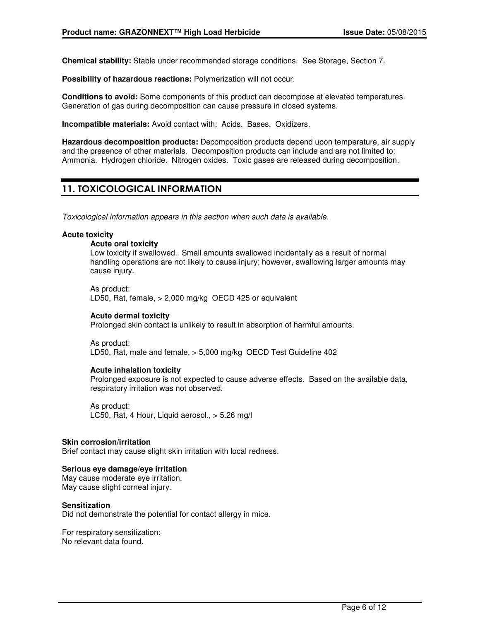**Chemical stability:** Stable under recommended storage conditions. See Storage, Section 7.

**Possibility of hazardous reactions:** Polymerization will not occur.

**Conditions to avoid:** Some components of this product can decompose at elevated temperatures. Generation of gas during decomposition can cause pressure in closed systems.

**Incompatible materials:** Avoid contact with: Acids. Bases. Oxidizers.

**Hazardous decomposition products:** Decomposition products depend upon temperature, air supply and the presence of other materials. Decomposition products can include and are not limited to: Ammonia. Hydrogen chloride. Nitrogen oxides. Toxic gases are released during decomposition.

# 11. TOXICOLOGICAL INFORMATION

Toxicological information appears in this section when such data is available.

#### **Acute toxicity**

#### **Acute oral toxicity**

Low toxicity if swallowed. Small amounts swallowed incidentally as a result of normal handling operations are not likely to cause injury; however, swallowing larger amounts may cause injury.

As product: LD50, Rat, female, > 2,000 mg/kg OECD 425 or equivalent

#### **Acute dermal toxicity**

Prolonged skin contact is unlikely to result in absorption of harmful amounts.

As product: LD50, Rat, male and female, > 5,000 mg/kg OECD Test Guideline 402

#### **Acute inhalation toxicity**

Prolonged exposure is not expected to cause adverse effects. Based on the available data, respiratory irritation was not observed.

As product: LC50, Rat, 4 Hour, Liquid aerosol., > 5.26 mg/l

#### **Skin corrosion/irritation**

Brief contact may cause slight skin irritation with local redness.

#### **Serious eye damage/eye irritation**

May cause moderate eye irritation. May cause slight corneal injury.

#### **Sensitization**

Did not demonstrate the potential for contact allergy in mice.

For respiratory sensitization: No relevant data found.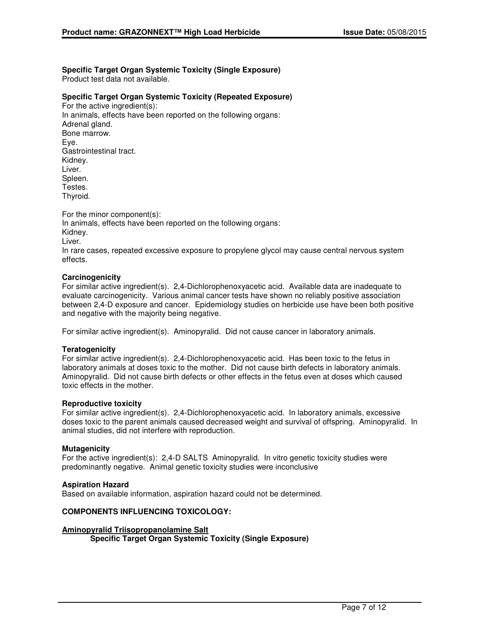# **Specific Target Organ Systemic Toxicity (Single Exposure)**

Product test data not available.

#### **Specific Target Organ Systemic Toxicity (Repeated Exposure)**

For the active ingredient(s): In animals, effects have been reported on the following organs: Adrenal gland. Bone marrow. Eye. Gastrointestinal tract. Kidney. Liver. Spleen. Testes. Thyroid.

For the minor component(s): In animals, effects have been reported on the following organs: Kidney. Liver. In rare cases, repeated excessive exposure to propylene glycol may cause central nervous system effects.

#### **Carcinogenicity**

For similar active ingredient(s). 2,4-Dichlorophenoxyacetic acid. Available data are inadequate to evaluate carcinogenicity. Various animal cancer tests have shown no reliably positive association between 2,4-D exposure and cancer. Epidemiology studies on herbicide use have been both positive and negative with the majority being negative.

For similar active ingredient(s). Aminopyralid. Did not cause cancer in laboratory animals.

#### **Teratogenicity**

For similar active ingredient(s). 2,4-Dichlorophenoxyacetic acid. Has been toxic to the fetus in laboratory animals at doses toxic to the mother. Did not cause birth defects in laboratory animals. Aminopyralid. Did not cause birth defects or other effects in the fetus even at doses which caused toxic effects in the mother.

#### **Reproductive toxicity**

For similar active ingredient(s). 2,4-Dichlorophenoxyacetic acid. In laboratory animals, excessive doses toxic to the parent animals caused decreased weight and survival of offspring. Aminopyralid. In animal studies, did not interfere with reproduction.

#### **Mutagenicity**

For the active ingredient(s): 2,4-D SALTS Aminopyralid. In vitro genetic toxicity studies were predominantly negative. Animal genetic toxicity studies were inconclusive

#### **Aspiration Hazard**

Based on available information, aspiration hazard could not be determined.

#### **COMPONENTS INFLUENCING TOXICOLOGY:**

#### **Aminopyralid Triisopropanolamine Salt Specific Target Organ Systemic Toxicity (Single Exposure)**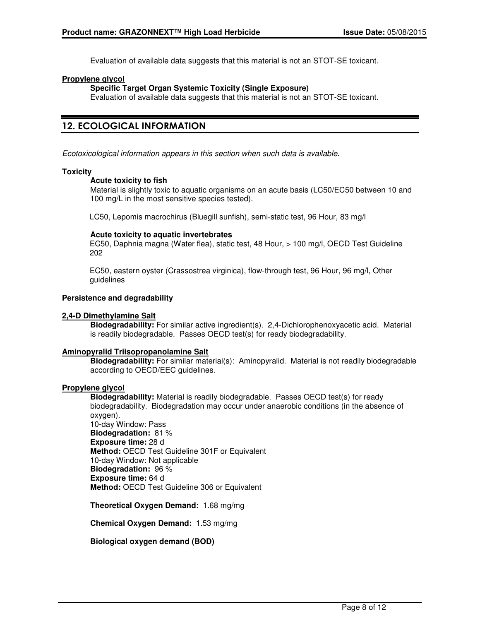Evaluation of available data suggests that this material is not an STOT-SE toxicant.

#### **Propylene glycol**

### **Specific Target Organ Systemic Toxicity (Single Exposure)**

Evaluation of available data suggests that this material is not an STOT-SE toxicant.

# 12. ECOLOGICAL INFORMATION

Ecotoxicological information appears in this section when such data is available.

#### **Toxicity**

#### **Acute toxicity to fish**

Material is slightly toxic to aquatic organisms on an acute basis (LC50/EC50 between 10 and 100 mg/L in the most sensitive species tested).

LC50, Lepomis macrochirus (Bluegill sunfish), semi-static test, 96 Hour, 83 mg/l

#### **Acute toxicity to aquatic invertebrates**

EC50, Daphnia magna (Water flea), static test, 48 Hour, > 100 mg/l, OECD Test Guideline 202

EC50, eastern oyster (Crassostrea virginica), flow-through test, 96 Hour, 96 mg/l, Other guidelines

#### **Persistence and degradability**

#### **2,4-D Dimethylamine Salt**

**Biodegradability:** For similar active ingredient(s). 2,4-Dichlorophenoxyacetic acid. Material is readily biodegradable. Passes OECD test(s) for ready biodegradability.

#### **Aminopyralid Triisopropanolamine Salt**

**Biodegradability:** For similar material(s): Aminopyralid. Material is not readily biodegradable according to OECD/EEC guidelines.

### **Propylene glycol**

**Biodegradability:** Material is readily biodegradable. Passes OECD test(s) for ready biodegradability. Biodegradation may occur under anaerobic conditions (in the absence of oxygen). 10-day Window: Pass **Biodegradation:** 81 % **Exposure time:** 28 d

**Method:** OECD Test Guideline 301F or Equivalent 10-day Window: Not applicable **Biodegradation:** 96 % **Exposure time:** 64 d **Method:** OECD Test Guideline 306 or Equivalent

**Theoretical Oxygen Demand:** 1.68 mg/mg

**Chemical Oxygen Demand:** 1.53 mg/mg

**Biological oxygen demand (BOD)**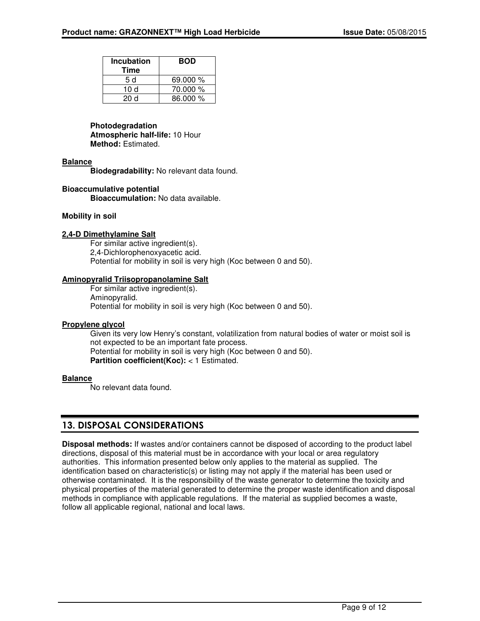| <b>Incubation</b><br>Time | <b>BOD</b> |
|---------------------------|------------|
| 5 d                       | 69.000 %   |
| 10 d                      | 70.000 %   |
| 20d                       | 86.000 %   |

### **Photodegradation**

**Atmospheric half-life:** 10 Hour **Method:** Estimated.

### **Balance**

**Biodegradability:** No relevant data found.

#### **Bioaccumulative potential**

**Bioaccumulation:** No data available.

#### **Mobility in soil**

#### **2,4-D Dimethylamine Salt**

For similar active ingredient(s). 2,4-Dichlorophenoxyacetic acid. Potential for mobility in soil is very high (Koc between 0 and 50).

#### **Aminopyralid Triisopropanolamine Salt**

For similar active ingredient(s). Aminopyralid. Potential for mobility in soil is very high (Koc between 0 and 50).

#### **Propylene glycol**

Given its very low Henry's constant, volatilization from natural bodies of water or moist soil is not expected to be an important fate process. Potential for mobility in soil is very high (Koc between 0 and 50). **Partition coefficient(Koc):** < 1 Estimated.

#### **Balance**

No relevant data found.

# 13. DISPOSAL CONSIDERATIONS

**Disposal methods:** If wastes and/or containers cannot be disposed of according to the product label directions, disposal of this material must be in accordance with your local or area regulatory authorities. This information presented below only applies to the material as supplied. The identification based on characteristic(s) or listing may not apply if the material has been used or otherwise contaminated. It is the responsibility of the waste generator to determine the toxicity and physical properties of the material generated to determine the proper waste identification and disposal methods in compliance with applicable regulations. If the material as supplied becomes a waste, follow all applicable regional, national and local laws.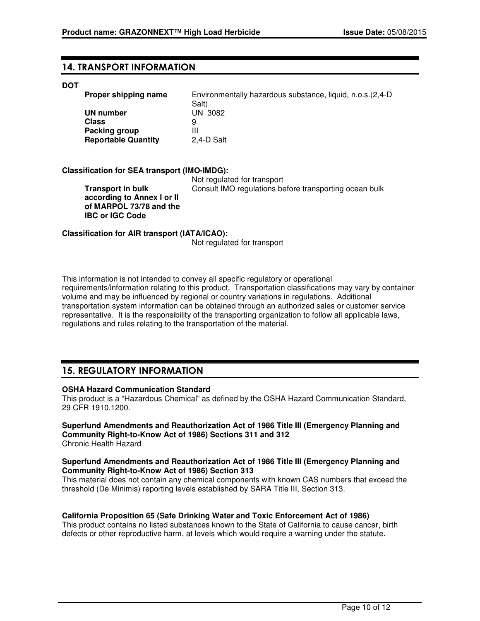### 14. TRANSPORT INFORMATION

#### **DOT**

| Proper shipping name       | Environmentally hazardous substance, liquid, n.o.s. (2,4-D)<br>Salt) |
|----------------------------|----------------------------------------------------------------------|
| <b>UN number</b>           | UN 3082                                                              |
| Class                      | 9                                                                    |
| Packing group              | Ш                                                                    |
| <b>Reportable Quantity</b> | 2.4-D Salt                                                           |

#### **Classification for SEA transport (IMO-IMDG):**

**Transport in bulk according to Annex I or II of MARPOL 73/78 and the IBC or IGC Code**

 Not regulated for transport Consult IMO regulations before transporting ocean bulk

#### **Classification for AIR transport (IATA/ICAO):**

Not regulated for transport

This information is not intended to convey all specific regulatory or operational requirements/information relating to this product. Transportation classifications may vary by container volume and may be influenced by regional or country variations in regulations. Additional transportation system information can be obtained through an authorized sales or customer service representative. It is the responsibility of the transporting organization to follow all applicable laws, regulations and rules relating to the transportation of the material.

# 15. REGULATORY INFORMATION

#### **OSHA Hazard Communication Standard**

This product is a "Hazardous Chemical" as defined by the OSHA Hazard Communication Standard, 29 CFR 1910.1200.

#### **Superfund Amendments and Reauthorization Act of 1986 Title III (Emergency Planning and Community Right-to-Know Act of 1986) Sections 311 and 312** Chronic Health Hazard

#### **Superfund Amendments and Reauthorization Act of 1986 Title III (Emergency Planning and Community Right-to-Know Act of 1986) Section 313**

This material does not contain any chemical components with known CAS numbers that exceed the threshold (De Minimis) reporting levels established by SARA Title III, Section 313.

#### **California Proposition 65 (Safe Drinking Water and Toxic Enforcement Act of 1986)**

This product contains no listed substances known to the State of California to cause cancer, birth defects or other reproductive harm, at levels which would require a warning under the statute.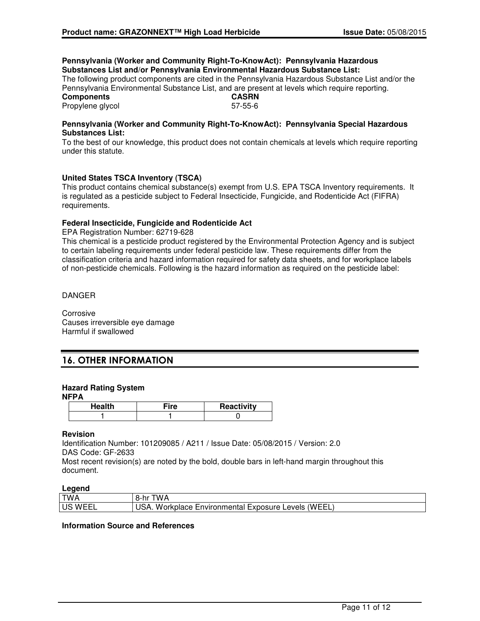#### **Pennsylvania (Worker and Community Right-To-KnowAct): Pennsylvania Hazardous Substances List and/or Pennsylvania Environmental Hazardous Substance List:**

The following product components are cited in the Pennsylvania Hazardous Substance List and/or the Pennsylvania Environmental Substance List, and are present at levels which require reporting.

**Components CASRN** Propylene glycol 57-55-6

#### **Pennsylvania (Worker and Community Right-To-KnowAct): Pennsylvania Special Hazardous Substances List:**

To the best of our knowledge, this product does not contain chemicals at levels which require reporting under this statute.

### **United States TSCA Inventory (TSCA)**

This product contains chemical substance(s) exempt from U.S. EPA TSCA Inventory requirements. It is regulated as a pesticide subject to Federal Insecticide, Fungicide, and Rodenticide Act (FIFRA) requirements.

### **Federal Insecticide, Fungicide and Rodenticide Act**

EPA Registration Number: 62719-628

This chemical is a pesticide product registered by the Environmental Protection Agency and is subject to certain labeling requirements under federal pesticide law. These requirements differ from the classification criteria and hazard information required for safety data sheets, and for workplace labels of non-pesticide chemicals. Following is the hazard information as required on the pesticide label:

DANGER

Corrosive Causes irreversible eye damage Harmful if swallowed

# 16. OTHER INFORMATION

### **Hazard Rating System**

**NFPA**

| . m | <b>Reactivity</b> |
|-----|-------------------|
|     |                   |

#### **Revision**

Identification Number: 101209085 / A211 / Issue Date: 05/08/2015 / Version: 2.0 DAS Code: GF-2633

Most recent revision(s) are noted by the bold, double bars in left-hand margin throughout this document.

### **Legend**

| ______                     |                                                            |
|----------------------------|------------------------------------------------------------|
| <b>TWA</b>                 | TWA<br>hr<br>-റ-                                           |
| $\cdots$ .<br>US<br>. W⊢⊢' | 'WEEL.<br>Environmental<br>Workplace<br>Exposure<br>Levels |
|                            |                                                            |

#### **Information Source and References**